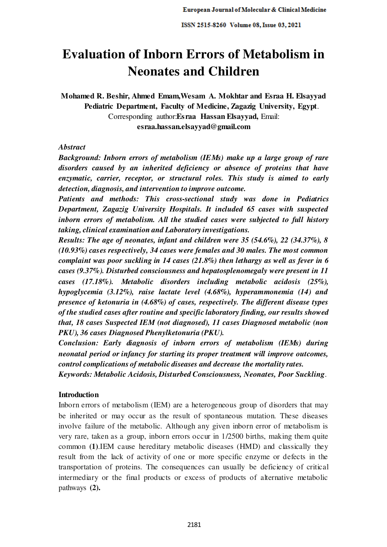# **Evaluation of Inborn Errors of Metabolism in Neonates and Children**

**Mohamed R. Beshir, Ahmed Emam,Wesam A. Mokhtar and Esraa H. Elsayyad Pediatric Department, Faculty of Medicine, Zagazig University, Egypt**. Corresponding author:**Esraa Hassan Elsayyad,** Email: **esraa.hassan.elsayyad@gmail.com** 

# *Abstract*

*Background: Inborn errors of metabolism (IEMs) make up a large group of rare disorders caused by an inherited deficiency or absence of proteins that have enzymatic, carrier, receptor, or structural roles. This study is aimed to early detection, diagnosis, and intervention to improve outcome.* 

*Patients and methods: This cross-sectional study was done in Pediatrics Department, Zagazig University Hospitals. It included 65 cases with suspected inborn errors of metabolism. All the studied cases were subjected to full history taking, clinical examination and Laboratory investigations.* 

*Results: The age of neonates, infant and children were 35 (54.6%), 22 (34.37%), 8 (10.93%) cases respectively, 34 cases were females and 30 males. The most common complaint was poor suckling in 14 cases (21.8%) then lethargy as well as fever in 6 cases (9.37%). Disturbed consciousness and hepatosplenomegaly were present in 11 cases (17.18%). Metabolic disorders including metabolic acidosis (25%), hypoglycemia (3.12%), raise lactate level (4.68%), hyperammonemia (14) and presence of ketonuria in (4.68%) of cases, respectively. The different disease types of the studied cases after routine and specific laboratory finding, our results showed that, 18 cases Suspected IEM (not diagnosed), 11 cases Diagnosed metabolic (non PKU), 36 cases Diagnosed Phenylketonuria (PKU).* 

*Conclusion: Early diagnosis of inborn errors of metabolism (IEMs) during neonatal period or infancy for starting its proper treatment will improve outcomes, control complications of metabolic diseases and decrease the mortality rates.* 

*Keywords: Metabolic Acidosis, Disturbed Consciousness, Neonates, Poor Suckling*.

# **Introduction**

Inborn errors of metabolism (IEM) are a heterogeneous group of disorders that may be inherited or may occur as the result of spontaneous mutation. These diseases involve failure of the metabolic. Although any given inborn error of metabolism is very rare, taken as a group, inborn errors occur in 1/2500 births, making them quite common **(1)**.IEM cause hereditary metabolic diseases (HMD) and classically they result from the lack of activity of one or more specific enzyme or defects in the transportation of proteins. The consequences can usually be deficiency of critical intermediary or the final products or excess of products of alternative metabolic pathways **(2).**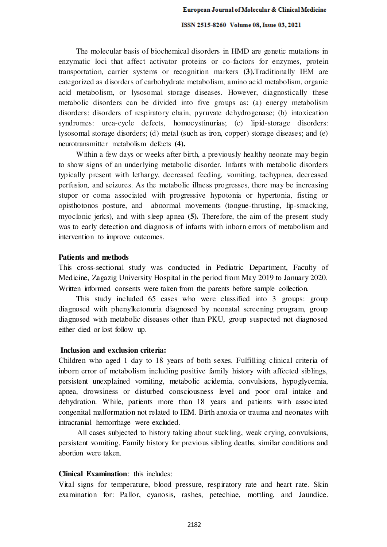The molecular basis of biochemical disorders in HMD are genetic mutations in enzymatic loci that affect activator proteins or co-factors for enzymes, protein transportation, carrier systems or recognition markers **(3).**Traditionally IEM are categorized as disorders of carbohydrate metabolism, amino acid metabolism, organic acid metabolism, or lysosomal storage diseases. However, diagnostically these metabolic disorders can be divided into five groups as: (a) energy metabolism disorders: disorders of respiratory chain, pyruvate dehydrogenase; (b) intoxication syndromes: urea-cycle defects, homocystinurias; (c) lipid-storage disorders: lysosomal storage disorders; (d) metal (such as iron, copper) storage diseases; and (e) neurotransmitter metabolism defects **(4).**

Within a few days or weeks after birth, a previously healthy neonate may begin to show signs of an underlying metabolic disorder. Infants with metabolic disorders typically present with lethargy, decreased feeding, vomiting, tachypnea, decreased perfusion, and seizures. As the metabolic illness progresses, there may be increasing stupor or coma associated with progressive hypotonia or hypertonia, fisting or opisthotonos posture, and abnormal movements (tongue-thrusting, lip-smacking, myoclonic jerks), and with sleep apnea **(5).** Therefore, the aim of the present study was to early detection and diagnosis of infants with inborn errors of metabolism and intervention to improve outcomes.

## **Patients and methods**

This cross-sectional study was conducted in Pediatric Department, Faculty of Medicine, Zagazig University Hospital in the period from May 2019 to January 2020. Written informed consents were taken from the parents before sample collection.

This study included 65 cases who were classified into 3 groups: group diagnosed with phenylketonuria diagnosed by neonatal screening program, group diagnosed with metabolic diseases other than PKU, group suspected not diagnosed either died or lost follow up.

#### **Inclusion and exclusion criteria:**

Children who aged 1 day to 18 years of both sexes. Fulfilling clinical criteria of inborn error of metabolism including positive family history with affected siblings, persistent unexplained vomiting, metabolic acidemia, convulsions, hypoglycemia, apnea, drowsiness or disturbed consciousness level and poor oral intake and dehydration. While, patients more than 18 years and patients with associated congenital malformation not related to IEM. Birth anoxia or trauma and neonates with intracranial hemorrhage were excluded.

All cases subjected to history taking about suckling, weak crying, convulsions, persistent vomiting. Family history for previous sibling deaths, similar conditions and abortion were taken.

# **Clinical Examination**: this includes:

Vital signs for temperature, blood pressure, respiratory rate and heart rate. Skin examination for: Pallor, cyanosis, rashes, petechiae, mottling, and Jaundice.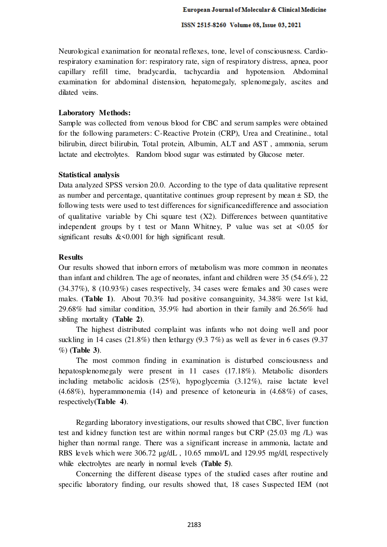Neurological exanimation for neonatal reflexes, tone, level of consciousness. Cardiorespiratory examination for: respiratory rate, sign of respiratory distress, apnea, poor capillary refill time, bradycardia, tachycardia and hypotension. Abdominal examination for abdominal distension, hepatomegaly, splenomegaly, ascites and dilated veins.

# **Laboratory Methods:**

Sample was collected from venous blood for CBC and serum samples were obtained for the following parameters: C-Reactive Protein (CRP), Urea and Creatinine., total bilirubin, direct bilirubin, Total protein, Albumin, ALT and AST , ammonia, serum lactate and electrolytes. Random blood sugar was estimated by Glucose meter.

## **Statistical analysis**

Data analyzed SPSS version 20.0. According to the type of data qualitative represent as number and percentage, quantitative continues group represent by mean  $\pm$  SD, the following tests were used to test differences for significancedifference and association of qualitative variable by Chi square test (X2). Differences between quantitative independent groups by t test or Mann Whitney, P value was set at  $\leq 0.05$  for significant results  $<0.001$  for high significant result.

## **Results**

Our results showed that inborn errors of metabolism was more common in neonates than infant and children. The age of neonates, infant and children were 35 (54.6%), 22 (34.37%), 8 (10.93%) cases respectively, 34 cases were females and 30 cases were males. **(Table 1)**. About 70.3% had positive consanguinity, 34.38% were 1st kid, 29.68% had similar condition, 35.9% had abortion in their family and 26.56% had sibling mortality **(Table 2)**.

The highest distributed complaint was infants who not doing well and poor suckling in 14 cases (21.8%) then lethargy (9.3 7%) as well as fever in 6 cases (9.37 %) **(Table 3)**.

The most common finding in examination is disturbed consciousness and hepatosplenomegaly were present in 11 cases (17.18%). Metabolic disorders including metabolic acidosis (25%), hypoglycemia (3.12%), raise lactate level (4.68%), hyperammonemia (14) and presence of ketoneuria in (4.68%) of cases, respectively**(Table 4)**.

Regarding laboratory investigations, our results showed that CBC, liver function test and kidney function test are within normal ranges but CRP (25.03 mg /L) was higher than normal range. There was a significant increase in ammonia, lactate and RBS levels which were 306.72  $\mu$ g/dL, 10.65 mmol/L and 129.95 mg/dl, respectively while electrolytes are nearly in normal levels **(Table 5)**.

Concerning the different disease types of the studied cases after routine and specific laboratory finding, our results showed that, 18 cases Suspected IEM (not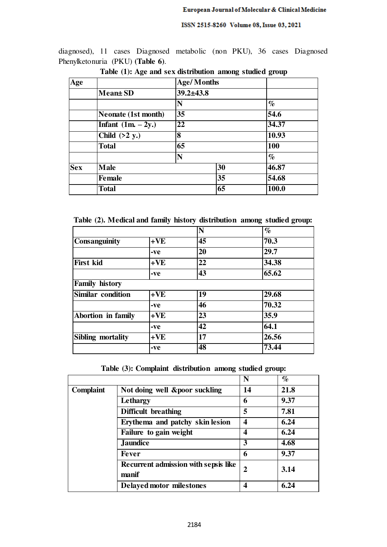diagnosed), 11 cases Diagnosed metabolic (non PKU), 36 cases Diagnosed Phenylketonuria (PKU) **(Table 6)**.

| Age        |                            | <b>Age/Months</b>        |    |            |
|------------|----------------------------|--------------------------|----|------------|
|            | Mean± SD                   | $39.2 \pm 43.8$          |    |            |
|            |                            | N                        |    | $\%$       |
|            | <b>Neonate (1st month)</b> | 35<br>22<br>8<br>65<br>N |    | 54.6       |
|            | Infant $(1m. - 2y.)$       |                          |    | 34.37      |
|            | Child $(>2 y.)$            |                          |    | 10.93      |
|            | Total                      |                          |    | <b>100</b> |
|            |                            |                          |    | $\%$       |
| <b>Sex</b> | <b>Male</b>                |                          | 30 | 46.87      |
|            | <b>Female</b>              |                          | 35 | 54.68      |
|            | <b>Total</b>               |                          | 65 | 100.0      |

**Table (1): Age and sex distribution among studied group** 

**Table (2). Medical and family history distribution among studied group:** 

|                           |       | N  | $\%$  |
|---------------------------|-------|----|-------|
| <b>Consanguinity</b>      | $+VE$ | 45 | 70.3  |
|                           | -ve   | 20 | 29.7  |
| <b>First kid</b>          | $+VE$ | 22 | 34.38 |
|                           | -ve   | 43 | 65.62 |
| <b>Family history</b>     |       |    |       |
| <b>Similar condition</b>  | $+VE$ | 19 | 29.68 |
|                           | -ve   | 46 | 70.32 |
| <b>Abortion in family</b> | $+VE$ | 23 | 35.9  |
|                           | -ve   | 42 | 64.1  |
| Sibling mortality         | $+VE$ | 17 | 26.56 |
|                           | -ve   | 48 | 73.44 |

**Table (3): Complaint distribution among studied group:** 

|                  |                                                      | N  | $\%$ |
|------------------|------------------------------------------------------|----|------|
| <b>Complaint</b> | Not doing well &poor suckling                        | 14 | 21.8 |
|                  | Lethargy                                             | 6  | 9.37 |
|                  | <b>Difficult breathing</b>                           | 5  | 7.81 |
|                  | Erythema and patchy skin lesion                      | 4  | 6.24 |
|                  | Failure to gain weight                               | 4  | 6.24 |
|                  | <b>Jaundice</b>                                      | 3  | 4.68 |
|                  | <b>Fever</b>                                         | 6  | 9.37 |
|                  | <b>Recurrent admission with sepsis like</b><br>manif | 2  | 3.14 |
|                  | Delayed motor milestones                             | 4  | 6.24 |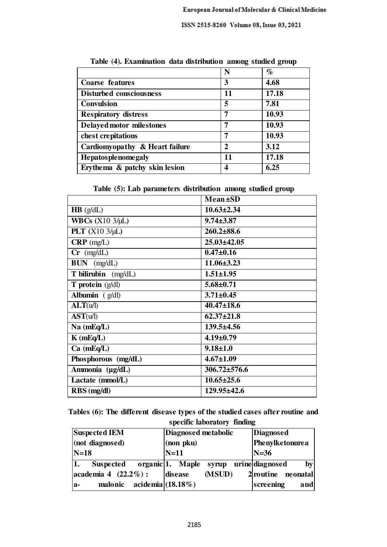|                                | N  | $\%$  |
|--------------------------------|----|-------|
| <b>Coarse features</b>         | 3  | 4.68  |
| <b>Disturbed consciousness</b> | 11 | 17.18 |
| <b>Convulsion</b>              | 5  | 7.81  |
| <b>Respiratory distress</b>    | 7  | 10.93 |
| Delayed motor milestones       | 7  | 10.93 |
| chest crepitations             | 7  | 10.93 |
| Cardiomyopathy & Heart failure | 2  | 3.12  |
| Hepatosplenomegaly             | 11 | 17.18 |
| Erythema & patchy skin lesion  |    | 6.25  |

**Table (4). Examination data distribution among studied group** 

**Table (5): Lab parameters distribution among studied group** 

|                                     | $Mean \pm SD$      |
|-------------------------------------|--------------------|
| $HB$ (g/dL)                         | $10.63 \pm 2.34$   |
| <b>WBCs</b> $(X10 \frac{3}{\mu L})$ | $9.74 \pm 3.87$    |
| PLT $(X10 \frac{3}{\mu L})$         | $260.2 \pm 88.6$   |
| $CRP$ (mg/L)                        | $25.03 \pm 42.05$  |
| $Cr$ (mg/dL)                        | $0.47 \pm 0.16$    |
| $BUN$ (mg/dL)                       | $11.06 \pm 3.23$   |
| T bilirubin (mg/dL)                 | $1.51 \pm 1.95$    |
| <b>T</b> protein $(g/d)$            | $5.68 \pm 0.71$    |
| Albumin $(g/dl)$                    | $3.71 \pm 0.45$    |
| ALT(u/l)                            | $40.47 \pm 18.6$   |
| AST(u/l)                            | $62.37 \pm 21.8$   |
| $Na$ (mEq/L)                        | $139.5 \pm 4.56$   |
| $K$ (mEq/L)                         | $4.19 \pm 0.79$    |
| $Ca$ (mEq/L)                        | $9.18 \pm 1.0$     |
| Phosphorous (mg/dL)                 | $4.67 \pm 1.09$    |
| Ammonia (µg/dL)                     | $306.72 \pm 576.6$ |
| Lactate (mmol/L)                    | $10.65 \pm 25.6$   |
| RBS (mg/dl)                         | 129.95±42.6        |

**Tables (6): The different disease types of the studied cases after routine and specific laboratory finding** 

| <b>Suspected IEM</b>             | Diagnosed metabolic                  | <b>Diagnosed</b>     |  |
|----------------------------------|--------------------------------------|----------------------|--|
| (not diagnosed)                  | $ $ (non p $k$ u)                    | Phenylketonurea      |  |
| $N=18$                           | $N=11$                               | $N=36$               |  |
| <b>Suspected</b>                 | organic <sup>[1</sup> ]. Maple syrup | urinediagnosed<br>by |  |
| $\alpha$ academia 4 (22.2%):     | (MSUD)<br>disease                    | 2 routine neonatal   |  |
| malonic acidemia (18.18%)<br>la- |                                      | screening<br>and     |  |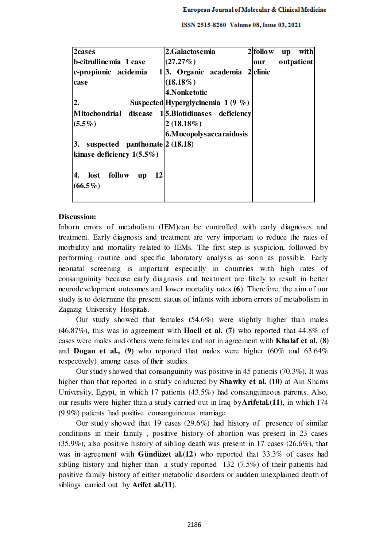| 2cases                                             | 2.Galactosemia                      | $2$ follow | with<br><b>up</b> |
|----------------------------------------------------|-------------------------------------|------------|-------------------|
| b-citrulline mia 1 case                            | $(27.27\%)$                         | our        | outpatient        |
| c-propionic acidemia                               | $1 3.$ Organic academia $2 $ clinic |            |                   |
| case                                               | $(18.18\%)$                         |            |                   |
|                                                    | 4. Nonketotic                       |            |                   |
| $\mathbf{2}$ .                                     | Suspected Hyperglycinemia $1(9\%)$  |            |                   |
| Mitochondrial disease 1 5. Biotidinases deficiency |                                     |            |                   |
| $(5.5\%)$                                          | $2(18.18\%)$                        |            |                   |
|                                                    | 6. Mucopolys accaraidos is          |            |                   |
| suspected panthonate $ 2(18.18) $<br>3.            |                                     |            |                   |
| kinase deficiency $1(5.5\%)$                       |                                     |            |                   |
|                                                    |                                     |            |                   |
| lost follow<br>12<br>4.<br><b>up</b>               |                                     |            |                   |
| $(66.5\%)$                                         |                                     |            |                   |
|                                                    |                                     |            |                   |

# **Discussion:**

Inborn errors of metabolism (IEM)can be controlled with early diagnoses and treatment. Early diagnosis and treatment are very important to reduce the rates of morbidity and mortality related to IEMs. The first step is suspicion, followed by performing routine and specific laboratory analysis as soon as possible. Early neonatal screening is important especially in countries with high rates of consanguinity because early diagnosis and treatment are likely to result in better neurodevelopment outcomes and lower mortality rates **(6)**. Therefore, the aim of our study is to determine the present status of infants with inborn errors of metabolism in Zagazig University Hospitals.

Our study showed that females (54.6%) were slightly higher than males (46.87%), this was in agreement with **Hoell et al. (7)** who reported that 44.8% of cases were males and others were females and not in agreement with **Khalaf et al. (8)** and **Dogan et al., (9)** who reported that males were higher (60% and 63.64% respectively) among cases of their studies.

Our study showed that consanguinity was positive in 45 patients (70.3%). It was higher than that reported in a study conducted by **Shawky et al. (10)** at Ain Shams University, Egypt, in which 17 patients (43.5%) had consanguineous parents. Also, our results were higher than a study carried out in Iraq by**Arifetal.(11)**, in which 174 (9.9%) patients had positive consanguineous marriage.

Our study showed that 19 cases  $(29.6\%)$  had history of presence of similar conditions in their family , positive history of abortion was present in 23 cases (35.9%), also positive history of sibling death was present in 17 cases (26.6%), that was in agreement with **Gündüzet al.(12)** who reported that 33.3% of cases had sibling history and higher than a study reported 132 (7.5%) of their patients had positive family history of either metabolic disorders or sudden unexplained death of siblings carried out by **Arifet al.(11)**.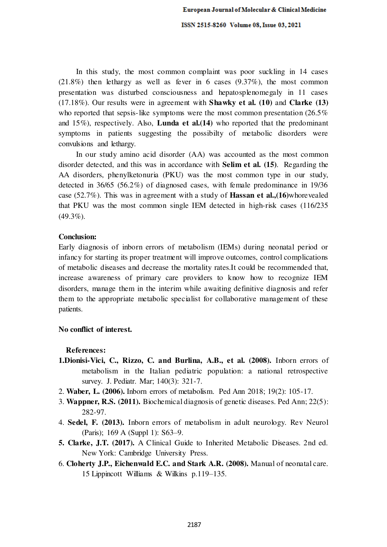In this study, the most common complaint was poor suckling in 14 cases (21.8%) then lethargy as well as fever in 6 cases (9.37%), the most common presentation was disturbed consciousness and hepatosplenomegaly in 11 cases (17.18%). Our results were in agreement with **Shawky et al. (10)** and **Clarke (13)** who reported that sepsis-like symptoms were the most common presentation (26.5%) and 15%), respectively. Also, **Lunda et al.(14)** who reported that the predominant symptoms in patients suggesting the possibilty of metabolic disorders were convulsions and lethargy.

In our study amino acid disorder (AA) was accounted as the most common disorder detected, and this was in accordance with **Selim et al. (15)**. Regarding the AA disorders, phenylketonuria (PKU) was the most common type in our study, detected in 36/65 (56.2%) of diagnosed cases, with female predominance in 19/36 case (52.7%). This was in agreement with a study of **Hassan et al.,(16)**whorevealed that PKU was the most common single IEM detected in high-risk cases (116/235 (49.3%).

#### **Conclusion:**

Early diagnosis of inborn errors of metabolism (IEMs) during neonatal period or infancy for starting its proper treatment will improve outcomes, control complications of metabolic diseases and decrease the mortality rates.It could be recommended that, increase awareness of primary care providers to know how to recognize IEM disorders, manage them in the interim while awaiting definitive diagnosis and refer them to the appropriate metabolic specialist for collaborative management of these patients.

### **No conflict of interest.**

**References:** 

- **1.Dionisi-Vici, C., Rizzo, C. and Burlina, A.B., et al. (2008).** Inborn errors of metabolism in the Italian pediatric population: a national retrospective survey. J. Pediatr. Mar; 140(3): 321-7.
- 2. **Waber, L. (2006).** Inborn errors of metabolism. Ped Ann 2018; 19(2): 105-17.
- 3. **Wappner, R.S. (2011).** Biochemical diagnosis of genetic diseases. Ped Ann; 22(5): 282-97.
- 4. **Sedel, F. (2013).** Inborn errors of metabolism in adult neurology. Rev Neurol (Paris); 169 A (Suppl 1): S63–9.
- **5. Clarke, J.T. (2017).** A Clinical Guide to Inherited Metabolic Diseases. 2nd ed. New York: Cambridge University Press.
- 6. **Cloherty J.P., Eichenwald E.C. and Stark A.R. (2008).** Manual of neonatal care. 15 Lippincott Williams & Wilkins p.119–135.